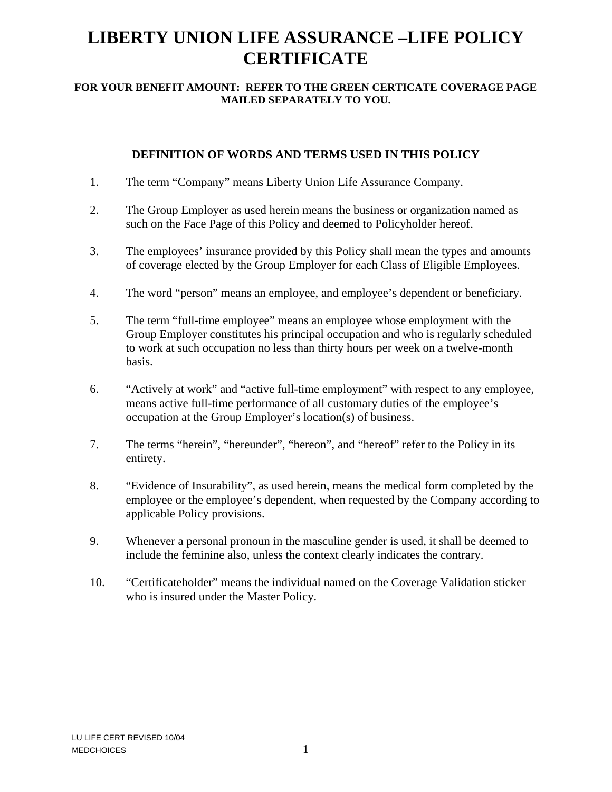# **LIBERTY UNION LIFE ASSURANCE –LIFE POLICY CERTIFICATE**

#### **FOR YOUR BENEFIT AMOUNT: REFER TO THE GREEN CERTICATE COVERAGE PAGE MAILED SEPARATELY TO YOU.**

# **DEFINITION OF WORDS AND TERMS USED IN THIS POLICY**

- 1. The term "Company" means Liberty Union Life Assurance Company.
- 2. The Group Employer as used herein means the business or organization named as such on the Face Page of this Policy and deemed to Policyholder hereof.
- 3. The employees' insurance provided by this Policy shall mean the types and amounts of coverage elected by the Group Employer for each Class of Eligible Employees.
- 4. The word "person" means an employee, and employee's dependent or beneficiary.
- 5. The term "full-time employee" means an employee whose employment with the Group Employer constitutes his principal occupation and who is regularly scheduled to work at such occupation no less than thirty hours per week on a twelve-month basis.
- 6. "Actively at work" and "active full-time employment" with respect to any employee, means active full-time performance of all customary duties of the employee's occupation at the Group Employer's location(s) of business.
- 7. The terms "herein", "hereunder", "hereon", and "hereof" refer to the Policy in its entirety.
- 8. "Evidence of Insurability", as used herein, means the medical form completed by the employee or the employee's dependent, when requested by the Company according to applicable Policy provisions.
- 9. Whenever a personal pronoun in the masculine gender is used, it shall be deemed to include the feminine also, unless the context clearly indicates the contrary.
- 10. "Certificateholder" means the individual named on the Coverage Validation sticker who is insured under the Master Policy.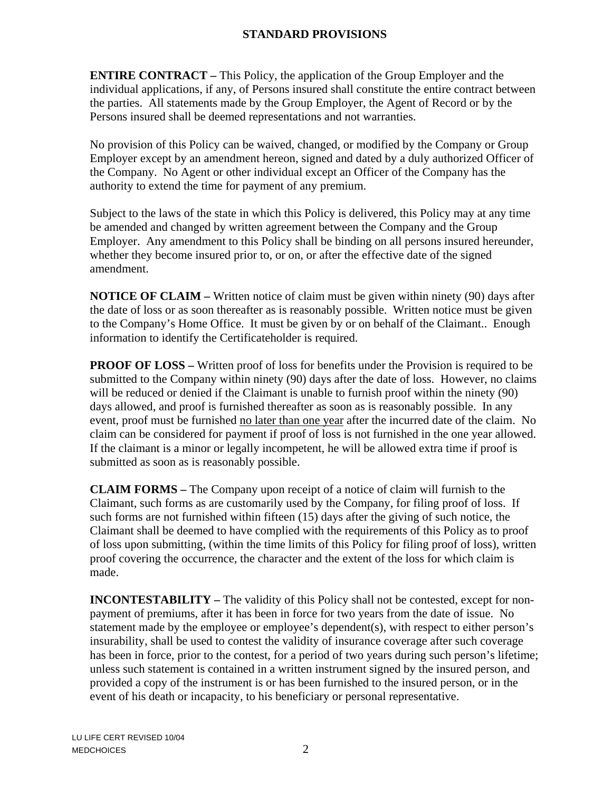# **STANDARD PROVISIONS**

**ENTIRE CONTRACT –** This Policy, the application of the Group Employer and the individual applications, if any, of Persons insured shall constitute the entire contract between the parties. All statements made by the Group Employer, the Agent of Record or by the Persons insured shall be deemed representations and not warranties.

No provision of this Policy can be waived, changed, or modified by the Company or Group Employer except by an amendment hereon, signed and dated by a duly authorized Officer of the Company. No Agent or other individual except an Officer of the Company has the authority to extend the time for payment of any premium.

Subject to the laws of the state in which this Policy is delivered, this Policy may at any time be amended and changed by written agreement between the Company and the Group Employer. Any amendment to this Policy shall be binding on all persons insured hereunder, whether they become insured prior to, or on, or after the effective date of the signed amendment.

**NOTICE OF CLAIM –** Written notice of claim must be given within ninety (90) days after the date of loss or as soon thereafter as is reasonably possible. Written notice must be given to the Company's Home Office. It must be given by or on behalf of the Claimant.. Enough information to identify the Certificateholder is required.

**PROOF OF LOSS** – Written proof of loss for benefits under the Provision is required to be submitted to the Company within ninety (90) days after the date of loss. However, no claims will be reduced or denied if the Claimant is unable to furnish proof within the ninety (90) days allowed, and proof is furnished thereafter as soon as is reasonably possible. In any event, proof must be furnished no later than one year after the incurred date of the claim. No claim can be considered for payment if proof of loss is not furnished in the one year allowed. If the claimant is a minor or legally incompetent, he will be allowed extra time if proof is submitted as soon as is reasonably possible.

**CLAIM FORMS –** The Company upon receipt of a notice of claim will furnish to the Claimant, such forms as are customarily used by the Company, for filing proof of loss. If such forms are not furnished within fifteen (15) days after the giving of such notice, the Claimant shall be deemed to have complied with the requirements of this Policy as to proof of loss upon submitting, (within the time limits of this Policy for filing proof of loss), written proof covering the occurrence, the character and the extent of the loss for which claim is made.

**INCONTESTABILITY** – The validity of this Policy shall not be contested, except for nonpayment of premiums, after it has been in force for two years from the date of issue. No statement made by the employee or employee's dependent(s), with respect to either person's insurability, shall be used to contest the validity of insurance coverage after such coverage has been in force, prior to the contest, for a period of two years during such person's lifetime; unless such statement is contained in a written instrument signed by the insured person, and provided a copy of the instrument is or has been furnished to the insured person, or in the event of his death or incapacity, to his beneficiary or personal representative.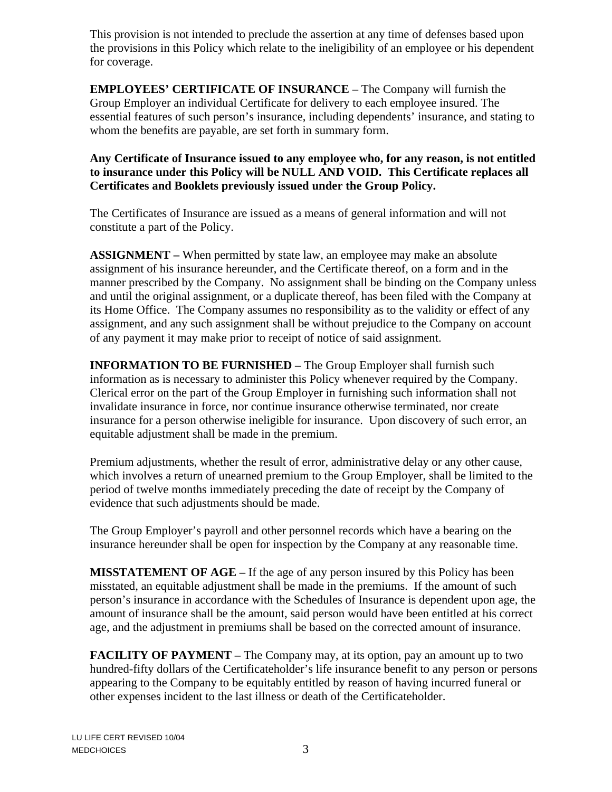This provision is not intended to preclude the assertion at any time of defenses based upon the provisions in this Policy which relate to the ineligibility of an employee or his dependent for coverage.

**EMPLOYEES' CERTIFICATE OF INSURANCE –** The Company will furnish the Group Employer an individual Certificate for delivery to each employee insured. The essential features of such person's insurance, including dependents' insurance, and stating to whom the benefits are payable, are set forth in summary form.

## **Any Certificate of Insurance issued to any employee who, for any reason, is not entitled to insurance under this Policy will be NULL AND VOID. This Certificate replaces all Certificates and Booklets previously issued under the Group Policy.**

The Certificates of Insurance are issued as a means of general information and will not constitute a part of the Policy.

**ASSIGNMENT –** When permitted by state law, an employee may make an absolute assignment of his insurance hereunder, and the Certificate thereof, on a form and in the manner prescribed by the Company. No assignment shall be binding on the Company unless and until the original assignment, or a duplicate thereof, has been filed with the Company at its Home Office. The Company assumes no responsibility as to the validity or effect of any assignment, and any such assignment shall be without prejudice to the Company on account of any payment it may make prior to receipt of notice of said assignment.

**INFORMATION TO BE FURNISHED –** The Group Employer shall furnish such information as is necessary to administer this Policy whenever required by the Company. Clerical error on the part of the Group Employer in furnishing such information shall not invalidate insurance in force, nor continue insurance otherwise terminated, nor create insurance for a person otherwise ineligible for insurance. Upon discovery of such error, an equitable adjustment shall be made in the premium.

Premium adjustments, whether the result of error, administrative delay or any other cause, which involves a return of unearned premium to the Group Employer, shall be limited to the period of twelve months immediately preceding the date of receipt by the Company of evidence that such adjustments should be made.

The Group Employer's payroll and other personnel records which have a bearing on the insurance hereunder shall be open for inspection by the Company at any reasonable time.

**MISSTATEMENT OF AGE –** If the age of any person insured by this Policy has been misstated, an equitable adjustment shall be made in the premiums. If the amount of such person's insurance in accordance with the Schedules of Insurance is dependent upon age, the amount of insurance shall be the amount, said person would have been entitled at his correct age, and the adjustment in premiums shall be based on the corrected amount of insurance.

**FACILITY OF PAYMENT** – The Company may, at its option, pay an amount up to two hundred-fifty dollars of the Certificateholder's life insurance benefit to any person or persons appearing to the Company to be equitably entitled by reason of having incurred funeral or other expenses incident to the last illness or death of the Certificateholder.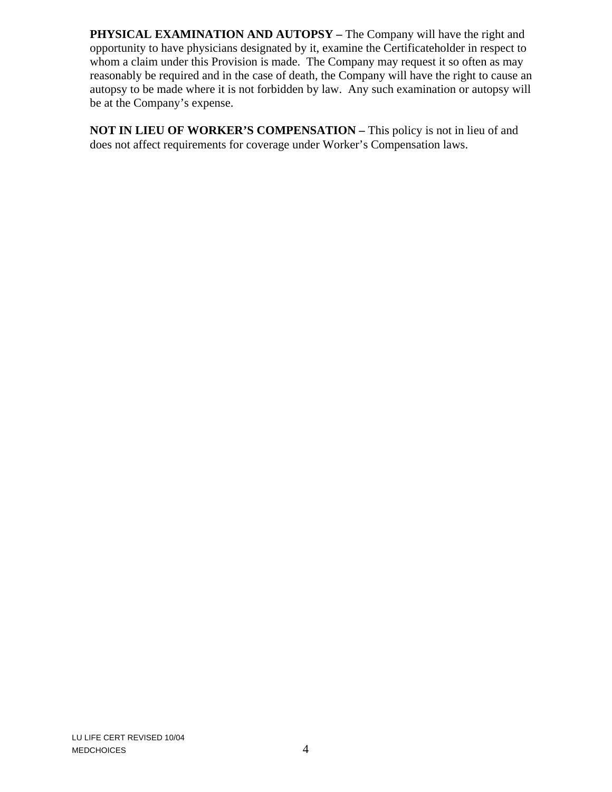**PHYSICAL EXAMINATION AND AUTOPSY – The Company will have the right and** opportunity to have physicians designated by it, examine the Certificateholder in respect to whom a claim under this Provision is made. The Company may request it so often as may reasonably be required and in the case of death, the Company will have the right to cause an autopsy to be made where it is not forbidden by law. Any such examination or autopsy will be at the Company's expense.

**NOT IN LIEU OF WORKER'S COMPENSATION –** This policy is not in lieu of and does not affect requirements for coverage under Worker's Compensation laws.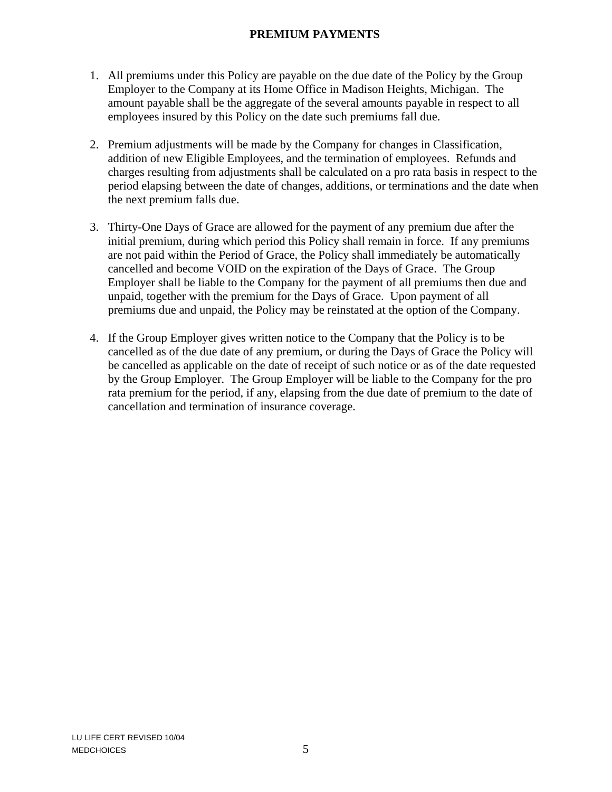## **PREMIUM PAYMENTS**

- 1. All premiums under this Policy are payable on the due date of the Policy by the Group Employer to the Company at its Home Office in Madison Heights, Michigan. The amount payable shall be the aggregate of the several amounts payable in respect to all employees insured by this Policy on the date such premiums fall due.
- 2. Premium adjustments will be made by the Company for changes in Classification, addition of new Eligible Employees, and the termination of employees. Refunds and charges resulting from adjustments shall be calculated on a pro rata basis in respect to the period elapsing between the date of changes, additions, or terminations and the date when the next premium falls due.
- 3. Thirty-One Days of Grace are allowed for the payment of any premium due after the initial premium, during which period this Policy shall remain in force. If any premiums are not paid within the Period of Grace, the Policy shall immediately be automatically cancelled and become VOID on the expiration of the Days of Grace. The Group Employer shall be liable to the Company for the payment of all premiums then due and unpaid, together with the premium for the Days of Grace. Upon payment of all premiums due and unpaid, the Policy may be reinstated at the option of the Company.
- 4. If the Group Employer gives written notice to the Company that the Policy is to be cancelled as of the due date of any premium, or during the Days of Grace the Policy will be cancelled as applicable on the date of receipt of such notice or as of the date requested by the Group Employer. The Group Employer will be liable to the Company for the pro rata premium for the period, if any, elapsing from the due date of premium to the date of cancellation and termination of insurance coverage.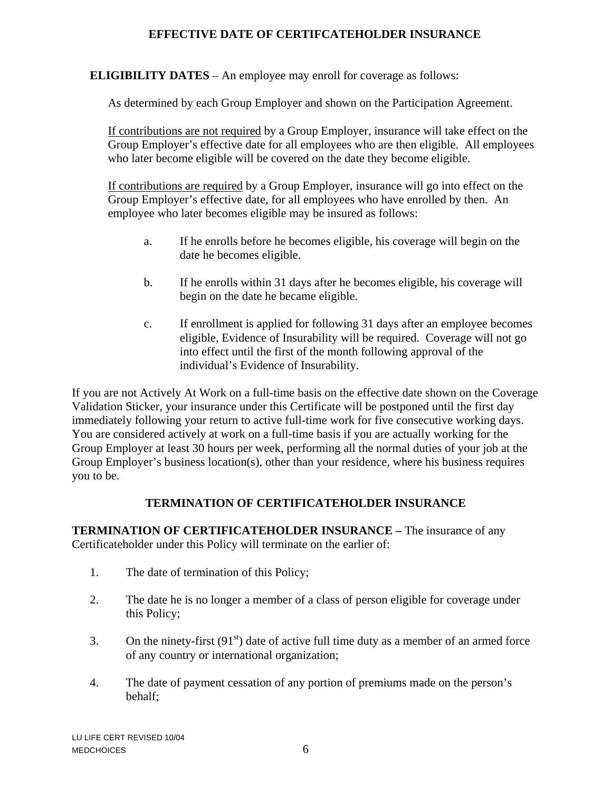#### **EFFECTIVE DATE OF CERTIFCATEHOLDER INSURANCE**

**ELIGIBILITY DATES** – An employee may enroll for coverage as follows:

As determined by each Group Employer and shown on the Participation Agreement.

If contributions are not required by a Group Employer, insurance will take effect on the Group Employer's effective date for all employees who are then eligible. All employees who later become eligible will be covered on the date they become eligible.

If contributions are required by a Group Employer, insurance will go into effect on the Group Employer's effective date, for all employees who have enrolled by then. An employee who later becomes eligible may be insured as follows:

- a. If he enrolls before he becomes eligible, his coverage will begin on the date he becomes eligible.
- b. If he enrolls within 31 days after he becomes eligible, his coverage will begin on the date he became eligible.
- c. If enrollment is applied for following 31 days after an employee becomes eligible, Evidence of Insurability will be required. Coverage will not go into effect until the first of the month following approval of the individual's Evidence of Insurability.

If you are not Actively At Work on a full-time basis on the effective date shown on the Coverage Validation Sticker, your insurance under this Certificate will be postponed until the first day immediately following your return to active full-time work for five consecutive working days. You are considered actively at work on a full-time basis if you are actually working for the Group Employer at least 30 hours per week, performing all the normal duties of your job at the Group Employer's business location(s), other than your residence, where his business requires you to be.

# **TERMINATION OF CERTIFICATEHOLDER INSURANCE**

**TERMINATION OF CERTIFICATEHOLDER INSURANCE –** The insurance of any Certificateholder under this Policy will terminate on the earlier of:

- 1. The date of termination of this Policy;
- 2. The date he is no longer a member of a class of person eligible for coverage under this Policy;
- 3. On the ninety-first  $(91<sup>st</sup>)$  date of active full time duty as a member of an armed force of any country or international organization;
- 4. The date of payment cessation of any portion of premiums made on the person's behalf;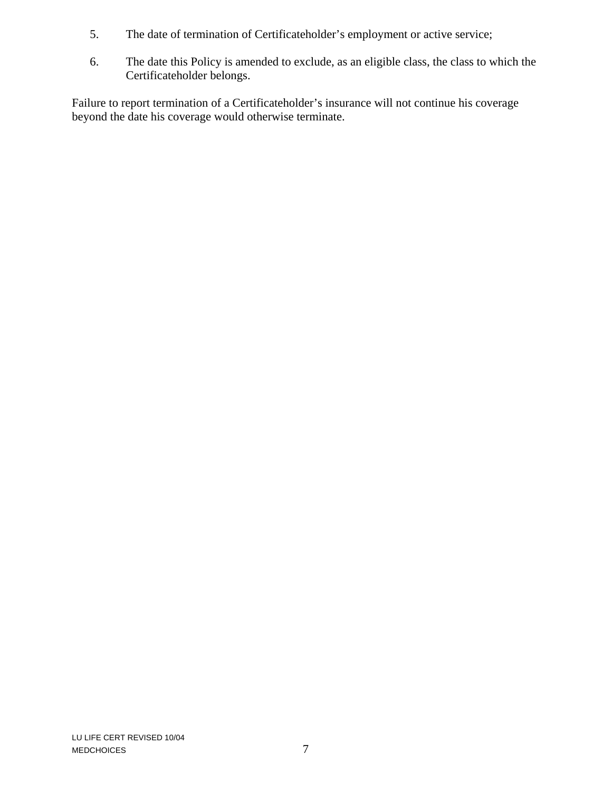- 5. The date of termination of Certificateholder's employment or active service;
- 6. The date this Policy is amended to exclude, as an eligible class, the class to which the Certificateholder belongs.

Failure to report termination of a Certificateholder's insurance will not continue his coverage beyond the date his coverage would otherwise terminate.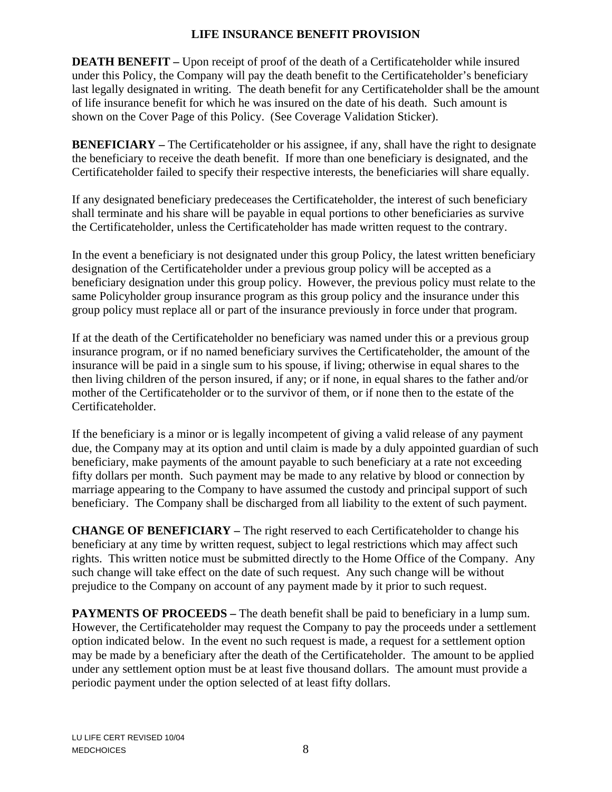#### **LIFE INSURANCE BENEFIT PROVISION**

**DEATH BENEFIT** – Upon receipt of proof of the death of a Certificateholder while insured under this Policy, the Company will pay the death benefit to the Certificateholder's beneficiary last legally designated in writing. The death benefit for any Certificateholder shall be the amount of life insurance benefit for which he was insured on the date of his death. Such amount is shown on the Cover Page of this Policy. (See Coverage Validation Sticker).

**BENEFICIARY** – The Certificateholder or his assignee, if any, shall have the right to designate the beneficiary to receive the death benefit. If more than one beneficiary is designated, and the Certificateholder failed to specify their respective interests, the beneficiaries will share equally.

If any designated beneficiary predeceases the Certificateholder, the interest of such beneficiary shall terminate and his share will be payable in equal portions to other beneficiaries as survive the Certificateholder, unless the Certificateholder has made written request to the contrary.

In the event a beneficiary is not designated under this group Policy, the latest written beneficiary designation of the Certificateholder under a previous group policy will be accepted as a beneficiary designation under this group policy. However, the previous policy must relate to the same Policyholder group insurance program as this group policy and the insurance under this group policy must replace all or part of the insurance previously in force under that program.

If at the death of the Certificateholder no beneficiary was named under this or a previous group insurance program, or if no named beneficiary survives the Certificateholder, the amount of the insurance will be paid in a single sum to his spouse, if living; otherwise in equal shares to the then living children of the person insured, if any; or if none, in equal shares to the father and/or mother of the Certificateholder or to the survivor of them, or if none then to the estate of the Certificateholder.

If the beneficiary is a minor or is legally incompetent of giving a valid release of any payment due, the Company may at its option and until claim is made by a duly appointed guardian of such beneficiary, make payments of the amount payable to such beneficiary at a rate not exceeding fifty dollars per month. Such payment may be made to any relative by blood or connection by marriage appearing to the Company to have assumed the custody and principal support of such beneficiary. The Company shall be discharged from all liability to the extent of such payment.

**CHANGE OF BENEFICIARY –** The right reserved to each Certificateholder to change his beneficiary at any time by written request, subject to legal restrictions which may affect such rights. This written notice must be submitted directly to the Home Office of the Company. Any such change will take effect on the date of such request. Any such change will be without prejudice to the Company on account of any payment made by it prior to such request.

**PAYMENTS OF PROCEEDS** – The death benefit shall be paid to beneficiary in a lump sum. However, the Certificateholder may request the Company to pay the proceeds under a settlement option indicated below. In the event no such request is made, a request for a settlement option may be made by a beneficiary after the death of the Certificateholder. The amount to be applied under any settlement option must be at least five thousand dollars. The amount must provide a periodic payment under the option selected of at least fifty dollars.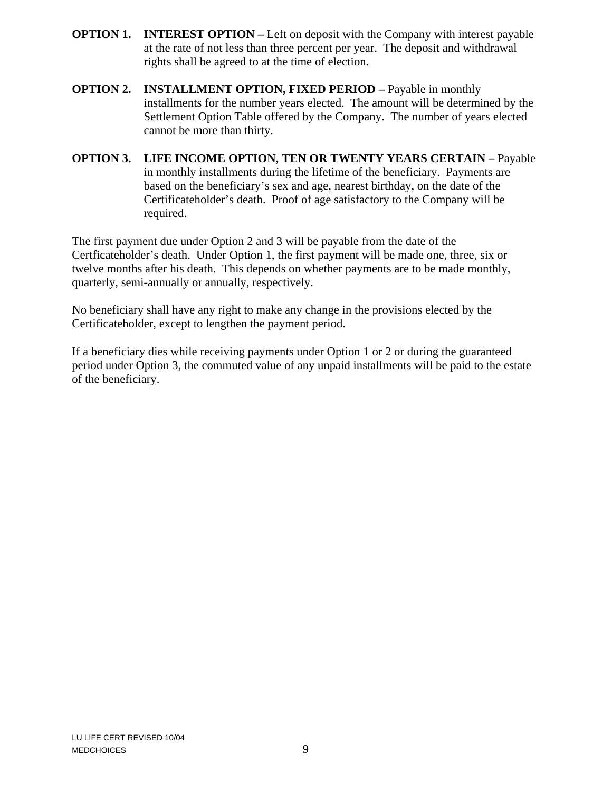- **OPTION 1. INTEREST OPTION Left on deposit with the Company with interest payable** at the rate of not less than three percent per year. The deposit and withdrawal rights shall be agreed to at the time of election.
- **OPTION 2. INSTALLMENT OPTION, FIXED PERIOD –** Payable in monthly installments for the number years elected. The amount will be determined by the Settlement Option Table offered by the Company. The number of years elected cannot be more than thirty.
- **OPTION 3. LIFE INCOME OPTION, TEN OR TWENTY YEARS CERTAIN** Payable in monthly installments during the lifetime of the beneficiary. Payments are based on the beneficiary's sex and age, nearest birthday, on the date of the Certificateholder's death. Proof of age satisfactory to the Company will be required.

The first payment due under Option 2 and 3 will be payable from the date of the Certficateholder's death. Under Option 1, the first payment will be made one, three, six or twelve months after his death. This depends on whether payments are to be made monthly, quarterly, semi-annually or annually, respectively.

No beneficiary shall have any right to make any change in the provisions elected by the Certificateholder, except to lengthen the payment period.

If a beneficiary dies while receiving payments under Option 1 or 2 or during the guaranteed period under Option 3, the commuted value of any unpaid installments will be paid to the estate of the beneficiary.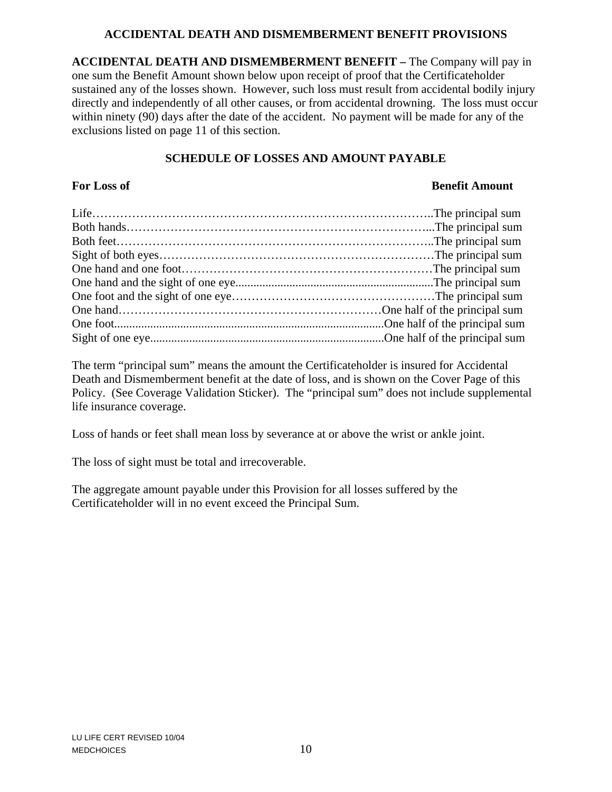#### **ACCIDENTAL DEATH AND DISMEMBERMENT BENEFIT PROVISIONS**

**ACCIDENTAL DEATH AND DISMEMBERMENT BENEFIT –** The Company will pay in one sum the Benefit Amount shown below upon receipt of proof that the Certificateholder sustained any of the losses shown. However, such loss must result from accidental bodily injury directly and independently of all other causes, or from accidental drowning. The loss must occur within ninety (90) days after the date of the accident. No payment will be made for any of the exclusions listed on page 11 of this section.

# **SCHEDULE OF LOSSES AND AMOUNT PAYABLE**

#### **For Loss of Benefit Amount**

The term "principal sum" means the amount the Certificateholder is insured for Accidental Death and Dismemberment benefit at the date of loss, and is shown on the Cover Page of this Policy. (See Coverage Validation Sticker). The "principal sum" does not include supplemental life insurance coverage.

Loss of hands or feet shall mean loss by severance at or above the wrist or ankle joint.

The loss of sight must be total and irrecoverable.

The aggregate amount payable under this Provision for all losses suffered by the Certificateholder will in no event exceed the Principal Sum.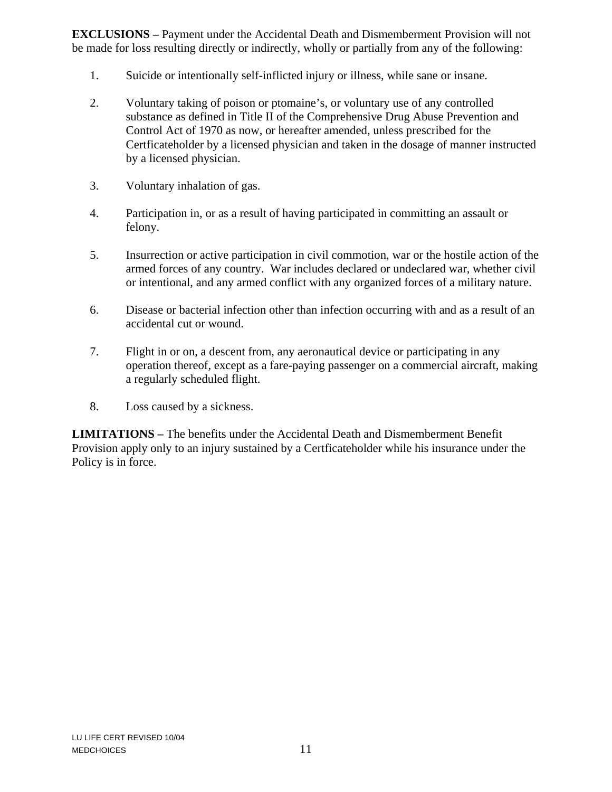**EXCLUSIONS –** Payment under the Accidental Death and Dismemberment Provision will not be made for loss resulting directly or indirectly, wholly or partially from any of the following:

- 1. Suicide or intentionally self-inflicted injury or illness, while sane or insane.
- 2. Voluntary taking of poison or ptomaine's, or voluntary use of any controlled substance as defined in Title II of the Comprehensive Drug Abuse Prevention and Control Act of 1970 as now, or hereafter amended, unless prescribed for the Certficateholder by a licensed physician and taken in the dosage of manner instructed by a licensed physician.
- 3. Voluntary inhalation of gas.
- 4. Participation in, or as a result of having participated in committing an assault or felony.
- 5. Insurrection or active participation in civil commotion, war or the hostile action of the armed forces of any country. War includes declared or undeclared war, whether civil or intentional, and any armed conflict with any organized forces of a military nature.
- 6. Disease or bacterial infection other than infection occurring with and as a result of an accidental cut or wound.
- 7. Flight in or on, a descent from, any aeronautical device or participating in any operation thereof, except as a fare-paying passenger on a commercial aircraft, making a regularly scheduled flight.
- 8. Loss caused by a sickness.

**LIMITATIONS –** The benefits under the Accidental Death and Dismemberment Benefit Provision apply only to an injury sustained by a Certficateholder while his insurance under the Policy is in force.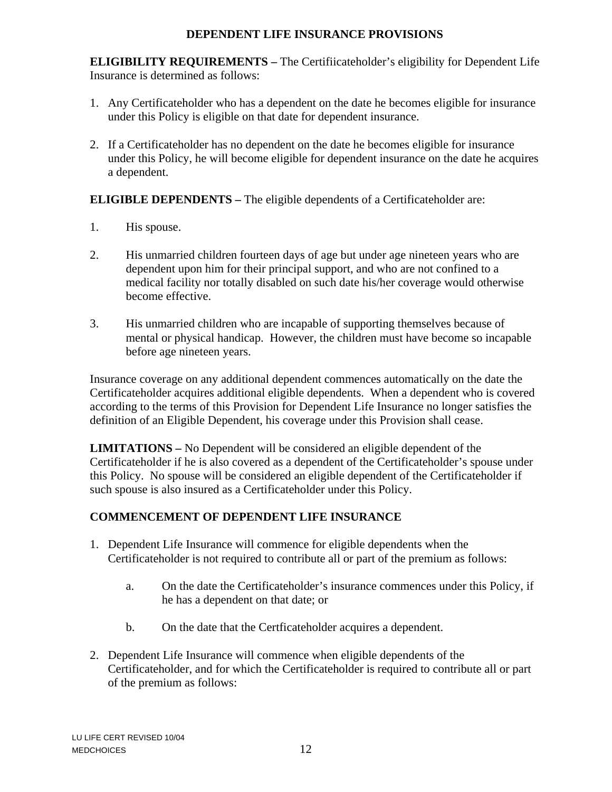#### **DEPENDENT LIFE INSURANCE PROVISIONS**

**ELIGIBILITY REQUIREMENTS –** The Certifiicateholder's eligibility for Dependent Life Insurance is determined as follows:

- 1. Any Certificateholder who has a dependent on the date he becomes eligible for insurance under this Policy is eligible on that date for dependent insurance.
- 2. If a Certificateholder has no dependent on the date he becomes eligible for insurance under this Policy, he will become eligible for dependent insurance on the date he acquires a dependent.

**ELIGIBLE DEPENDENTS –** The eligible dependents of a Certificateholder are:

- 1. His spouse.
- 2. His unmarried children fourteen days of age but under age nineteen years who are dependent upon him for their principal support, and who are not confined to a medical facility nor totally disabled on such date his/her coverage would otherwise become effective.
- 3. His unmarried children who are incapable of supporting themselves because of mental or physical handicap. However, the children must have become so incapable before age nineteen years.

Insurance coverage on any additional dependent commences automatically on the date the Certificateholder acquires additional eligible dependents. When a dependent who is covered according to the terms of this Provision for Dependent Life Insurance no longer satisfies the definition of an Eligible Dependent, his coverage under this Provision shall cease.

**LIMITATIONS –** No Dependent will be considered an eligible dependent of the Certificateholder if he is also covered as a dependent of the Certificateholder's spouse under this Policy. No spouse will be considered an eligible dependent of the Certificateholder if such spouse is also insured as a Certificateholder under this Policy.

# **COMMENCEMENT OF DEPENDENT LIFE INSURANCE**

- 1. Dependent Life Insurance will commence for eligible dependents when the Certificateholder is not required to contribute all or part of the premium as follows:
	- a. On the date the Certificateholder's insurance commences under this Policy, if he has a dependent on that date; or
	- b. On the date that the Certficateholder acquires a dependent.
- 2. Dependent Life Insurance will commence when eligible dependents of the Certificateholder, and for which the Certificateholder is required to contribute all or part of the premium as follows: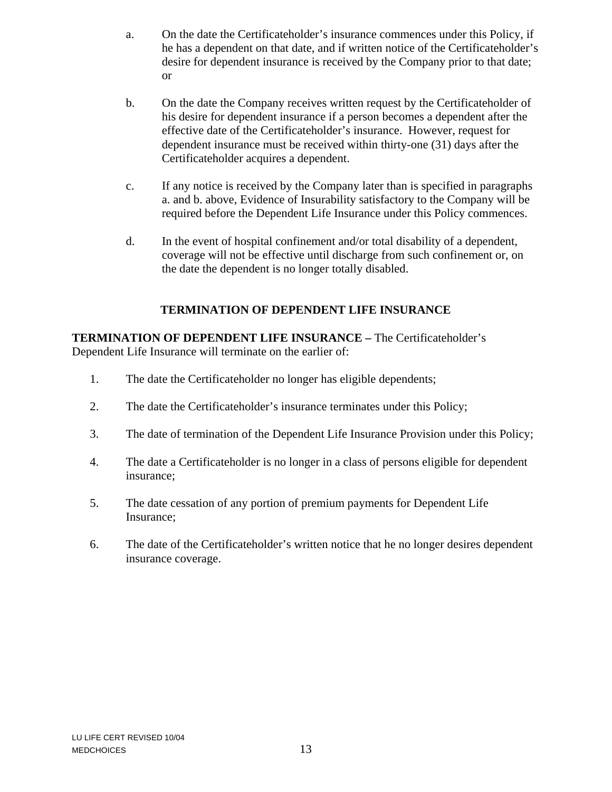- a. On the date the Certificateholder's insurance commences under this Policy, if he has a dependent on that date, and if written notice of the Certificateholder's desire for dependent insurance is received by the Company prior to that date; or
- b. On the date the Company receives written request by the Certificateholder of his desire for dependent insurance if a person becomes a dependent after the effective date of the Certificateholder's insurance. However, request for dependent insurance must be received within thirty-one (31) days after the Certificateholder acquires a dependent.
- c. If any notice is received by the Company later than is specified in paragraphs a. and b. above, Evidence of Insurability satisfactory to the Company will be required before the Dependent Life Insurance under this Policy commences.
- d. In the event of hospital confinement and/or total disability of a dependent, coverage will not be effective until discharge from such confinement or, on the date the dependent is no longer totally disabled.

# **TERMINATION OF DEPENDENT LIFE INSURANCE**

**TERMINATION OF DEPENDENT LIFE INSURANCE –** The Certificateholder's Dependent Life Insurance will terminate on the earlier of:

- 1. The date the Certificateholder no longer has eligible dependents;
- 2. The date the Certificateholder's insurance terminates under this Policy;
- 3. The date of termination of the Dependent Life Insurance Provision under this Policy;
- 4. The date a Certificateholder is no longer in a class of persons eligible for dependent insurance;
- 5. The date cessation of any portion of premium payments for Dependent Life Insurance;
- 6. The date of the Certificateholder's written notice that he no longer desires dependent insurance coverage.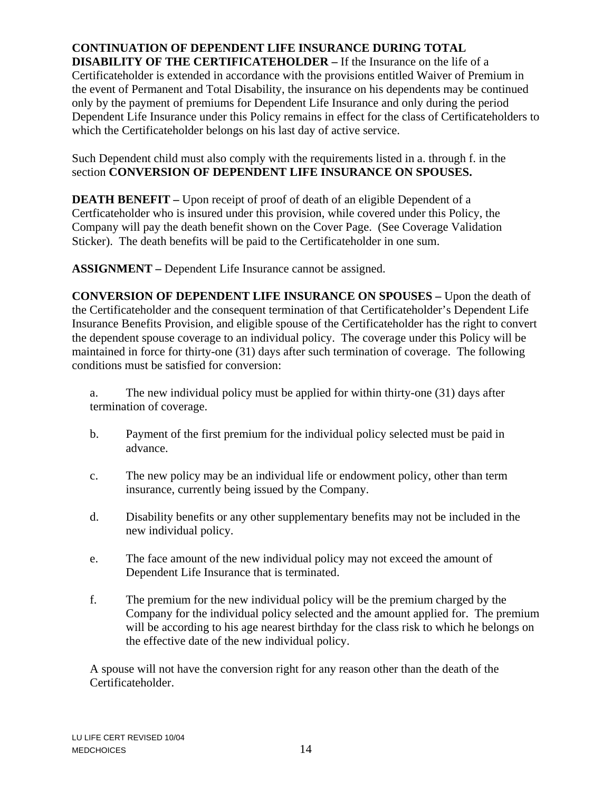#### **CONTINUATION OF DEPENDENT LIFE INSURANCE DURING TOTAL DISABILITY OF THE CERTIFICATEHOLDER –** If the Insurance on the life of a

Certificateholder is extended in accordance with the provisions entitled Waiver of Premium in the event of Permanent and Total Disability, the insurance on his dependents may be continued only by the payment of premiums for Dependent Life Insurance and only during the period Dependent Life Insurance under this Policy remains in effect for the class of Certificateholders to which the Certificateholder belongs on his last day of active service.

Such Dependent child must also comply with the requirements listed in a. through f. in the section **CONVERSION OF DEPENDENT LIFE INSURANCE ON SPOUSES.**

**DEATH BENEFIT** – Upon receipt of proof of death of an eligible Dependent of a Certficateholder who is insured under this provision, while covered under this Policy, the Company will pay the death benefit shown on the Cover Page. (See Coverage Validation Sticker). The death benefits will be paid to the Certificateholder in one sum.

**ASSIGNMENT –** Dependent Life Insurance cannot be assigned.

**CONVERSION OF DEPENDENT LIFE INSURANCE ON SPOUSES –** Upon the death of the Certificateholder and the consequent termination of that Certificateholder's Dependent Life Insurance Benefits Provision, and eligible spouse of the Certificateholder has the right to convert the dependent spouse coverage to an individual policy. The coverage under this Policy will be maintained in force for thirty-one (31) days after such termination of coverage. The following conditions must be satisfied for conversion:

a. The new individual policy must be applied for within thirty-one (31) days after termination of coverage.

- b. Payment of the first premium for the individual policy selected must be paid in advance.
- c. The new policy may be an individual life or endowment policy, other than term insurance, currently being issued by the Company.
- d. Disability benefits or any other supplementary benefits may not be included in the new individual policy.
- e. The face amount of the new individual policy may not exceed the amount of Dependent Life Insurance that is terminated.
- f. The premium for the new individual policy will be the premium charged by the Company for the individual policy selected and the amount applied for. The premium will be according to his age nearest birthday for the class risk to which he belongs on the effective date of the new individual policy.

A spouse will not have the conversion right for any reason other than the death of the Certificateholder.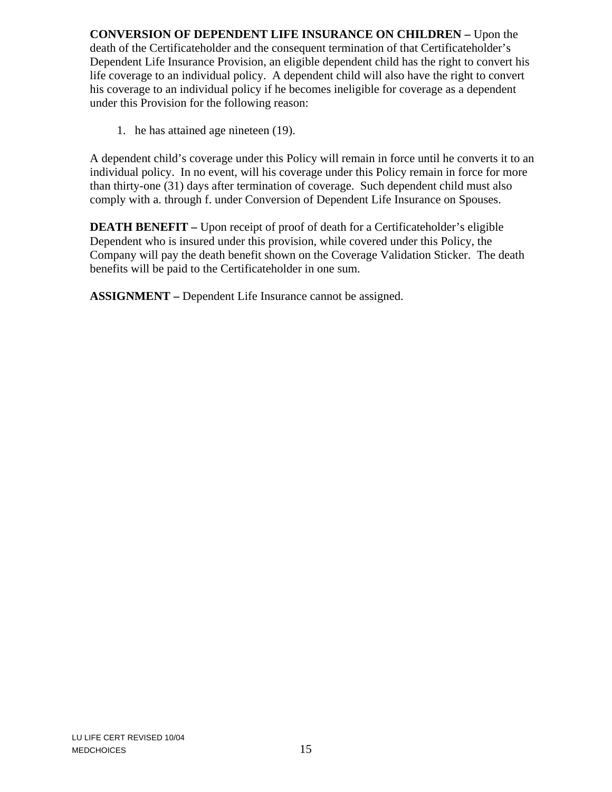**CONVERSION OF DEPENDENT LIFE INSURANCE ON CHILDREN –** Upon the death of the Certificateholder and the consequent termination of that Certificateholder's Dependent Life Insurance Provision, an eligible dependent child has the right to convert his life coverage to an individual policy. A dependent child will also have the right to convert his coverage to an individual policy if he becomes ineligible for coverage as a dependent under this Provision for the following reason:

1. he has attained age nineteen (19).

A dependent child's coverage under this Policy will remain in force until he converts it to an individual policy. In no event, will his coverage under this Policy remain in force for more than thirty-one (31) days after termination of coverage. Such dependent child must also comply with a. through f. under Conversion of Dependent Life Insurance on Spouses.

**DEATH BENEFIT –** Upon receipt of proof of death for a Certificateholder's eligible Dependent who is insured under this provision, while covered under this Policy, the Company will pay the death benefit shown on the Coverage Validation Sticker. The death benefits will be paid to the Certificateholder in one sum.

**ASSIGNMENT –** Dependent Life Insurance cannot be assigned.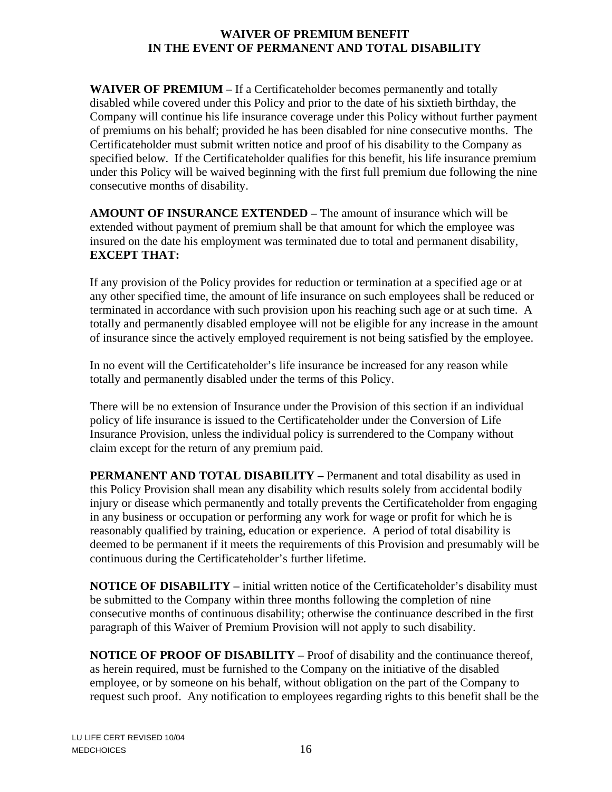#### **WAIVER OF PREMIUM BENEFIT IN THE EVENT OF PERMANENT AND TOTAL DISABILITY**

**WAIVER OF PREMIUM –** If a Certificateholder becomes permanently and totally disabled while covered under this Policy and prior to the date of his sixtieth birthday, the Company will continue his life insurance coverage under this Policy without further payment of premiums on his behalf; provided he has been disabled for nine consecutive months. The Certificateholder must submit written notice and proof of his disability to the Company as specified below. If the Certificateholder qualifies for this benefit, his life insurance premium under this Policy will be waived beginning with the first full premium due following the nine consecutive months of disability.

**AMOUNT OF INSURANCE EXTENDED –** The amount of insurance which will be extended without payment of premium shall be that amount for which the employee was insured on the date his employment was terminated due to total and permanent disability, **EXCEPT THAT:** 

If any provision of the Policy provides for reduction or termination at a specified age or at any other specified time, the amount of life insurance on such employees shall be reduced or terminated in accordance with such provision upon his reaching such age or at such time. A totally and permanently disabled employee will not be eligible for any increase in the amount of insurance since the actively employed requirement is not being satisfied by the employee.

In no event will the Certificateholder's life insurance be increased for any reason while totally and permanently disabled under the terms of this Policy.

There will be no extension of Insurance under the Provision of this section if an individual policy of life insurance is issued to the Certificateholder under the Conversion of Life Insurance Provision, unless the individual policy is surrendered to the Company without claim except for the return of any premium paid.

**PERMANENT AND TOTAL DISABILITY –** Permanent and total disability as used in this Policy Provision shall mean any disability which results solely from accidental bodily injury or disease which permanently and totally prevents the Certificateholder from engaging in any business or occupation or performing any work for wage or profit for which he is reasonably qualified by training, education or experience. A period of total disability is deemed to be permanent if it meets the requirements of this Provision and presumably will be continuous during the Certificateholder's further lifetime.

**NOTICE OF DISABILITY –** initial written notice of the Certificateholder's disability must be submitted to the Company within three months following the completion of nine consecutive months of continuous disability; otherwise the continuance described in the first paragraph of this Waiver of Premium Provision will not apply to such disability.

**NOTICE OF PROOF OF DISABILITY –** Proof of disability and the continuance thereof, as herein required, must be furnished to the Company on the initiative of the disabled employee, or by someone on his behalf, without obligation on the part of the Company to request such proof. Any notification to employees regarding rights to this benefit shall be the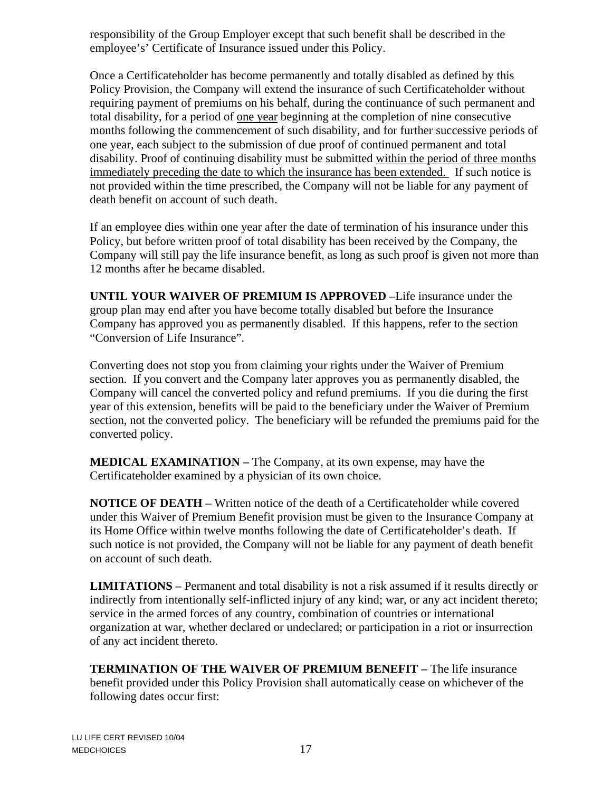responsibility of the Group Employer except that such benefit shall be described in the employee's' Certificate of Insurance issued under this Policy.

Once a Certificateholder has become permanently and totally disabled as defined by this Policy Provision, the Company will extend the insurance of such Certificateholder without requiring payment of premiums on his behalf, during the continuance of such permanent and total disability, for a period of one year beginning at the completion of nine consecutive months following the commencement of such disability, and for further successive periods of one year, each subject to the submission of due proof of continued permanent and total disability. Proof of continuing disability must be submitted within the period of three months immediately preceding the date to which the insurance has been extended. If such notice is not provided within the time prescribed, the Company will not be liable for any payment of death benefit on account of such death.

If an employee dies within one year after the date of termination of his insurance under this Policy, but before written proof of total disability has been received by the Company, the Company will still pay the life insurance benefit, as long as such proof is given not more than 12 months after he became disabled.

**UNTIL YOUR WAIVER OF PREMIUM IS APPROVED –**Life insurance under the group plan may end after you have become totally disabled but before the Insurance Company has approved you as permanently disabled. If this happens, refer to the section "Conversion of Life Insurance".

Converting does not stop you from claiming your rights under the Waiver of Premium section. If you convert and the Company later approves you as permanently disabled, the Company will cancel the converted policy and refund premiums. If you die during the first year of this extension, benefits will be paid to the beneficiary under the Waiver of Premium section, not the converted policy. The beneficiary will be refunded the premiums paid for the converted policy.

**MEDICAL EXAMINATION – The Company, at its own expense, may have the** Certificateholder examined by a physician of its own choice.

**NOTICE OF DEATH –** Written notice of the death of a Certificateholder while covered under this Waiver of Premium Benefit provision must be given to the Insurance Company at its Home Office within twelve months following the date of Certificateholder's death. If such notice is not provided, the Company will not be liable for any payment of death benefit on account of such death.

**LIMITATIONS –** Permanent and total disability is not a risk assumed if it results directly or indirectly from intentionally self-inflicted injury of any kind; war, or any act incident thereto; service in the armed forces of any country, combination of countries or international organization at war, whether declared or undeclared; or participation in a riot or insurrection of any act incident thereto.

**TERMINATION OF THE WAIVER OF PREMIUM BENEFIT –** The life insurance benefit provided under this Policy Provision shall automatically cease on whichever of the following dates occur first: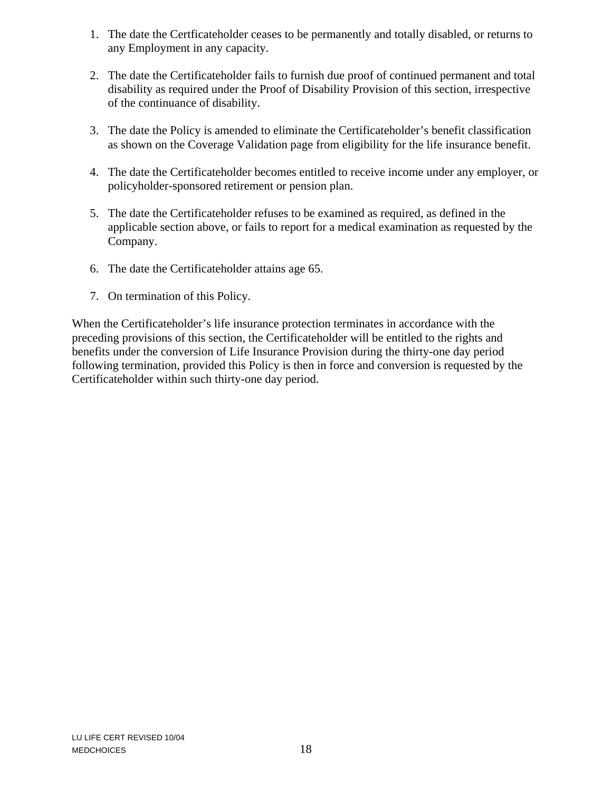- 1. The date the Certficateholder ceases to be permanently and totally disabled, or returns to any Employment in any capacity.
- 2. The date the Certificateholder fails to furnish due proof of continued permanent and total disability as required under the Proof of Disability Provision of this section, irrespective of the continuance of disability.
- 3. The date the Policy is amended to eliminate the Certificateholder's benefit classification as shown on the Coverage Validation page from eligibility for the life insurance benefit.
- 4. The date the Certificateholder becomes entitled to receive income under any employer, or policyholder-sponsored retirement or pension plan.
- 5. The date the Certificateholder refuses to be examined as required, as defined in the applicable section above, or fails to report for a medical examination as requested by the Company.
- 6. The date the Certificateholder attains age 65.
- 7. On termination of this Policy.

When the Certificateholder's life insurance protection terminates in accordance with the preceding provisions of this section, the Certificateholder will be entitled to the rights and benefits under the conversion of Life Insurance Provision during the thirty-one day period following termination, provided this Policy is then in force and conversion is requested by the Certificateholder within such thirty-one day period.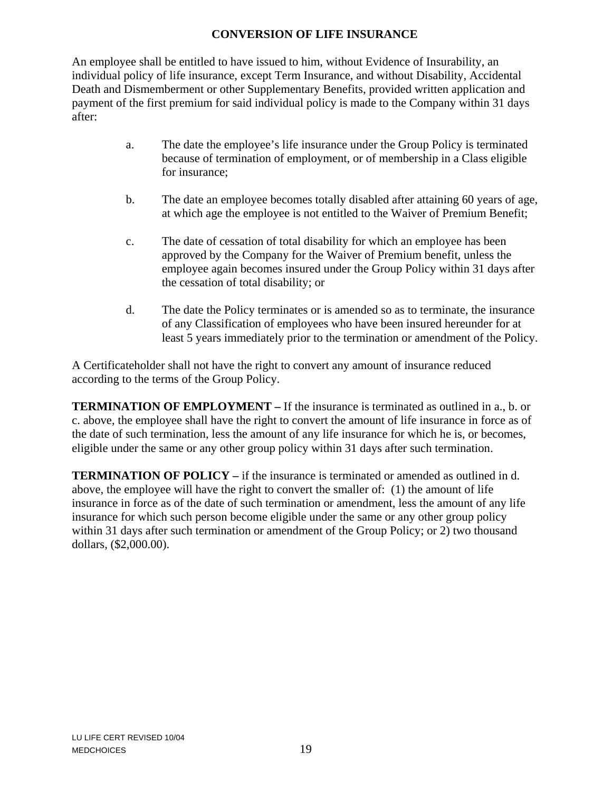### **CONVERSION OF LIFE INSURANCE**

An employee shall be entitled to have issued to him, without Evidence of Insurability, an individual policy of life insurance, except Term Insurance, and without Disability, Accidental Death and Dismemberment or other Supplementary Benefits, provided written application and payment of the first premium for said individual policy is made to the Company within 31 days after:

- a. The date the employee's life insurance under the Group Policy is terminated because of termination of employment, or of membership in a Class eligible for insurance;
- b. The date an employee becomes totally disabled after attaining 60 years of age, at which age the employee is not entitled to the Waiver of Premium Benefit;
- c. The date of cessation of total disability for which an employee has been approved by the Company for the Waiver of Premium benefit, unless the employee again becomes insured under the Group Policy within 31 days after the cessation of total disability; or
- d. The date the Policy terminates or is amended so as to terminate, the insurance of any Classification of employees who have been insured hereunder for at least 5 years immediately prior to the termination or amendment of the Policy.

A Certificateholder shall not have the right to convert any amount of insurance reduced according to the terms of the Group Policy.

**TERMINATION OF EMPLOYMENT –** If the insurance is terminated as outlined in a., b. or c. above, the employee shall have the right to convert the amount of life insurance in force as of the date of such termination, less the amount of any life insurance for which he is, or becomes, eligible under the same or any other group policy within 31 days after such termination.

**TERMINATION OF POLICY** – if the insurance is terminated or amended as outlined in d. above, the employee will have the right to convert the smaller of: (1) the amount of life insurance in force as of the date of such termination or amendment, less the amount of any life insurance for which such person become eligible under the same or any other group policy within 31 days after such termination or amendment of the Group Policy; or 2) two thousand dollars, (\$2,000.00).